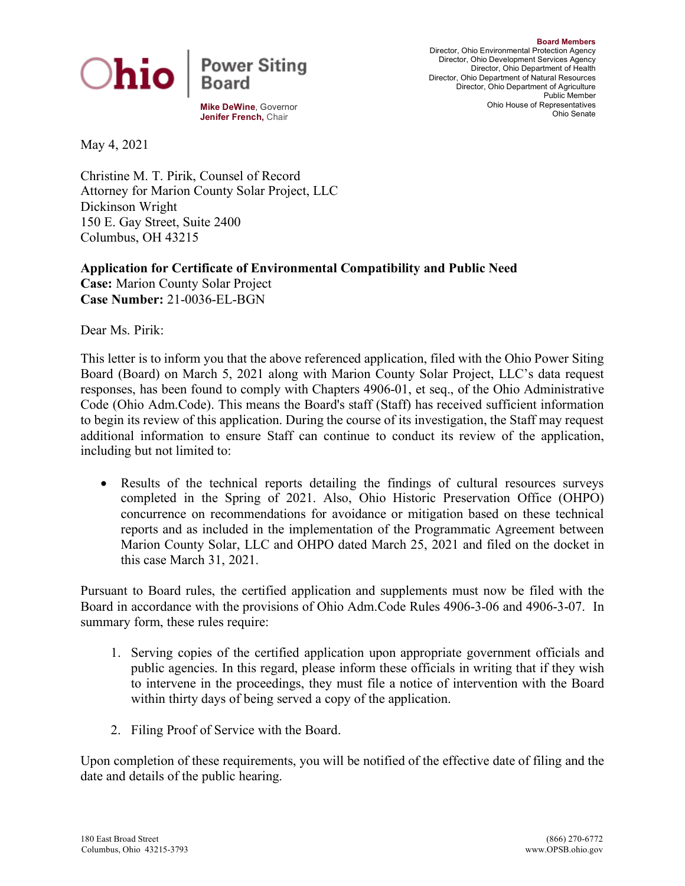

**Mike DeWine**, Governor **Jenifer French,** Chair

**Board Members** Director, Ohio Environmental Protection Agency Director, Ohio Development Services Agency Director, Ohio Department of Health Director, Ohio Department of Natural Resources Director, Ohio Department of Agriculture Public Member Ohio House of Representatives Ohio Senate

May 4, 2021

Christine M. T. Pirik, Counsel of Record Attorney for Marion County Solar Project, LLC Dickinson Wright 150 E. Gay Street, Suite 2400 Columbus, OH 43215

**Application for Certificate of Environmental Compatibility and Public Need Case:** Marion County Solar Project **Case Number:** 21-0036-EL-BGN

Dear Ms. Pirik:

This letter is to inform you that the above referenced application, filed with the Ohio Power Siting Board (Board) on March 5, 2021 along with Marion County Solar Project, LLC's data request responses, has been found to comply with Chapters 4906-01, et seq., of the Ohio Administrative Code (Ohio Adm.Code). This means the Board's staff (Staff) has received sufficient information to begin its review of this application. During the course of its investigation, the Staff may request additional information to ensure Staff can continue to conduct its review of the application, including but not limited to:

• Results of the technical reports detailing the findings of cultural resources surveys completed in the Spring of 2021. Also, Ohio Historic Preservation Office (OHPO) concurrence on recommendations for avoidance or mitigation based on these technical reports and as included in the implementation of the Programmatic Agreement between Marion County Solar, LLC and OHPO dated March 25, 2021 and filed on the docket in this case March 31, 2021.

Pursuant to Board rules, the certified application and supplements must now be filed with the Board in accordance with the provisions of Ohio Adm.Code Rules 4906-3-06 and 4906-3-07. In summary form, these rules require:

- 1. Serving copies of the certified application upon appropriate government officials and public agencies. In this regard, please inform these officials in writing that if they wish to intervene in the proceedings, they must file a notice of intervention with the Board within thirty days of being served a copy of the application.
- 2. Filing Proof of Service with the Board.

Upon completion of these requirements, you will be notified of the effective date of filing and the date and details of the public hearing.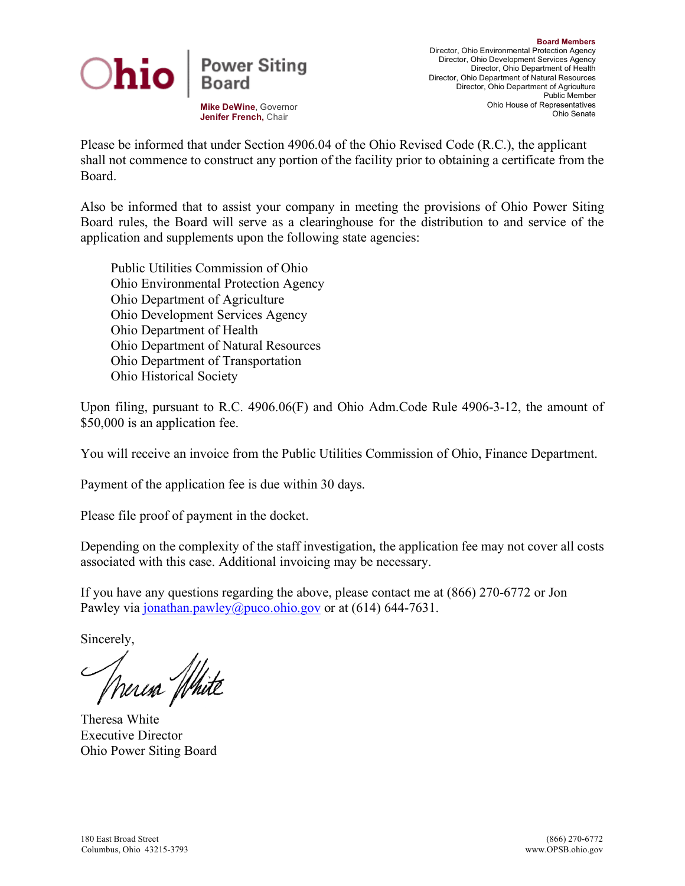

**Mike DeWine**, Governor **Jenifer French,** Chair

Please be informed that under Section 4906.04 of the Ohio Revised Code (R.C.), the applicant shall not commence to construct any portion of the facility prior to obtaining a certificate from the Board.

Also be informed that to assist your company in meeting the provisions of Ohio Power Siting Board rules, the Board will serve as a clearinghouse for the distribution to and service of the application and supplements upon the following state agencies:

Public Utilities Commission of Ohio Ohio Environmental Protection Agency Ohio Department of Agriculture Ohio Development Services Agency Ohio Department of Health Ohio Department of Natural Resources Ohio Department of Transportation Ohio Historical Society

Upon filing, pursuant to R.C. 4906.06(F) and Ohio Adm.Code Rule 4906-3-12, the amount of \$50,000 is an application fee.

You will receive an invoice from the Public Utilities Commission of Ohio, Finance Department.

Payment of the application fee is due within 30 days.

Please file proof of payment in the docket.

Depending on the complexity of the staff investigation, the application fee may not cover all costs associated with this case. Additional invoicing may be necessary.

If you have any questions regarding the above, please contact me at (866) 270-6772 or Jon Pawley via [jonathan.pawley@puco.ohio.gov](mailto:jonathan.pawley@puco.ohio.gov) or at  $(614)$  644-7631.

Sincerely,

Theresa White

Theresa White Executive Director Ohio Power Siting Board